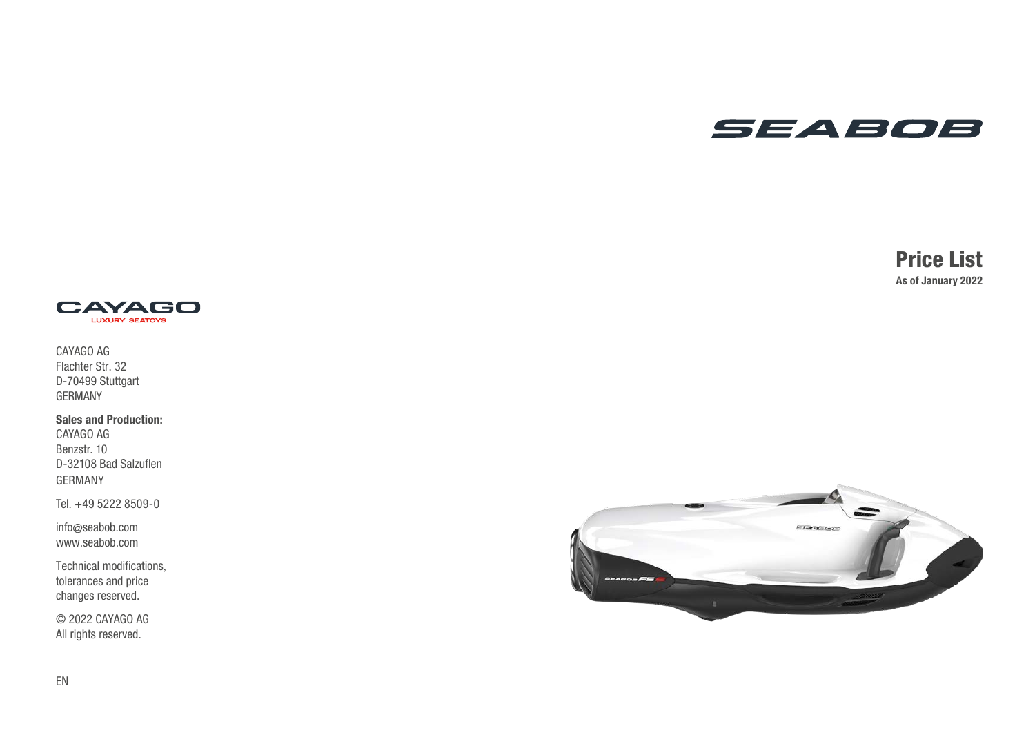## SEABOB

## Price List As of January 2022



CAYAGO AG Flachter Str. 32 D-70499 Stuttgart GERMANY

Sales and Production:

CAYAGO AG Benzstr. 10 D-32108 Bad Salzuflen GERMANY

Tel. +49 5222 8509-0

info @seabob.com www.seabob.com

Technical modifications, tolerances and price changes reserved.

© 2022 CAYAGO AG All rights reserved.